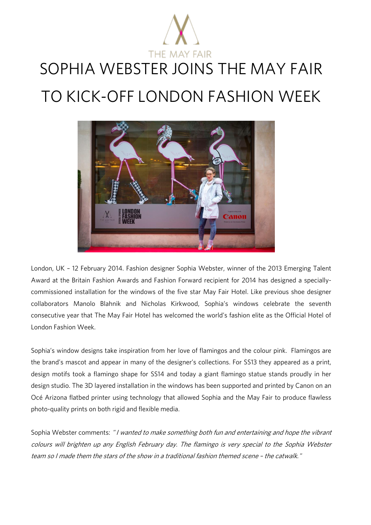

# SOPHIA WEBSTER JOINS THE MAY FAIR TO KICK-OFF LONDON FASHION WEEK



London, UK - 12 February 2014. Fashion designer Sophia Webster, winner of the 2013 Emerging Talent<br>Award at the Britain Fashion Awards and Fashion Forward recipient for 2014 has designed a speciallycommissioned installation for the windows of the five star May Fair Hotel. Like previous shoe designer collaborators Manolo Blahnik and Nicholas Kirkwood, Sophia's windows celebrate the seventh collaborators Manolo Blahnik and Nicholas Kirkwood, Sophia's windows celebrate the seventh consecutive year that The May Fair Hotel has welcomed the world's fashion elite as the Official Hotel of London Fashion Week.

Sophia's window designs take inspiration from her love of flamingos and the colour pink. Flamingos are the brand's mascot and appear in many of the designer's collections. For SS13 they appeared as a print, design motifs took a flamingo shape for SS14 and today a giant flamingo statue stands proudly in her  $\alpha$  for SS14 and today a flaming status status status proudly in her status status status provided provided provided provided provided provided provided provided provided provided provided provided provided provided prov  $\alpha$  design studio. The 3D layered installation in the windows has been supported and printed by Canon on and printed by  $\alpha$ Océ Arizona flatbed printer using technology that allowed Sophia and the May Fair to produce flawless photo-quality prints on both rigid and flexible media.

Sophia Webster comments: "I wanted to make something both fun and entertaining and hope the vibrant colours will brighten up any English February day. The flamingo is very special to the Sophia Webster team so I made them the stars of the show in a traditional fashion themed scene – the catwalk."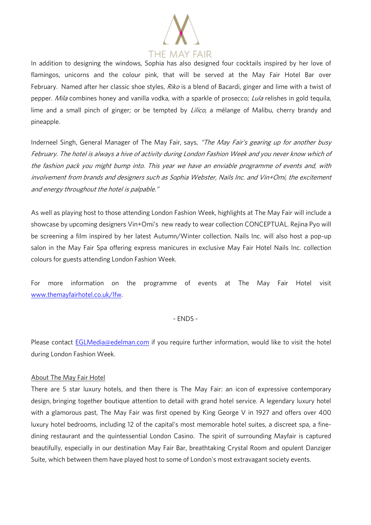

In addition to designing the windows, Sophia has also designed four cocktails inspired by her love of flamingos, unicorns and the colour pink, that will be served at the May Fair Hotel Bar over flamingos, unicorns and the colour pink, that will be served at the May Fair Hotel Bar over February. Named after her classic shoe styles, *Riko* is a blend of Bacardi, ginger and lime with a twist of Septian of the styles. And in the styles and lime with a twist of the styles of  $\mu$ pepper. Mila combines honey and vanilla vodka, with a sparkle of prosecco; Lula relishes in gold tequila, lime and a small pinch of ginger; or be tempted by *Lilico*, a mélange of Malibu, cherry brandy and<br>pineapple. pineapple.

Inderneel Singh, General Manager of The May Fair, says, "The May Fair's gearing up for another busy February. The hotel is always a hive of activity during London Fashion Week and you never know which of the fashion pack you might bump into. This year we have an enviable programme of events and, with involvement from brands and designers such as Sophia Webster, Nails Inc. and Vin+Omi, the excitement and energy throughout the hotel is palpable."

As well as playing host to those attending London Fashion Week, highlights at The May Fair will include a showcase by upcoming designers Vin+Omi's new ready to wear collection CONCEPTUAL. Rejina Pyo will be screening a film inspired by her latest Autumn/Winter collection. Nails Inc. will also host a pop-up salon in the May Fair Spa offering express manicures in exclusive May Fair Hotel Nails Inc. collection colours for guests attending London Fashion Week.

For more information on the programme of events at The May Fair Hotel visit [www.themayfairhotel.co.uk/lfw.](http://www.themayfairhotel.co.uk/lfw)

#### $- FNDS -$ - ENDS -

Please contact [EGLMedia@edelman.com](mailto:EGLMedia@edelman.com) if you require further information, would like to visit the hotel during London Fashion Week.

### About The May Fair Hotel

There are 5 star luxury hotels, and then there is The May Fair: an icon of expressive contemporary design, bringing together boutique attention to detail with grand hotel service. A legendary luxury hotel with a glamorous past, The May Fair was first opened by King George V in 1927 and offers over 400 [luxury hotel bedrooms,](http://www.themayfairhotel.co.uk/rooms_and_suites) including 12 of the capital's most memorable [hotel suites,](http://www.themayfairsuites.com/) a discreet [spa,](http://www.themayfairhotel.co.uk/spa) a finedining [restaurant](http://www.themayfairhotel.co.uk/quince) and the quintessential London [Casino.](http://www.themayfairhotel.co.uk/casino) The spirit of surrounding Mayfair is captured beautifully, especially in our destination [May Fair Bar,](http://www.themayfairhotel.co.uk/bar) breathtaking [Crystal Room](http://www.themayfairhotel.co.uk/crystal) and opulent [Danziger](http://www.themayfairhotel.co.uk/danziger)  [Suite,](http://www.themayfairhotel.co.uk/danziger) which between them have played host to some of London's most extravagant society events.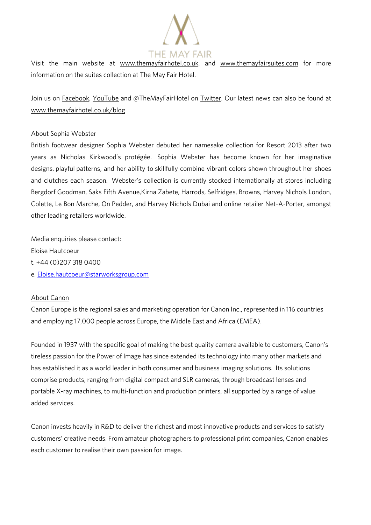

l, visit the main website at www.themayfairhotel.com for main water at which we have more more more more more mor information on the suites collection at The May Fair Hotel.

Join us on **Facebook**, [YouTube](http://www.youtube.com/TheMayFairHotel) and @TheMayFairHotel on [Twitter.](http://www.twitter.com/TheMayFairHotel) Our latest news can also be found at www.themayfairhotel.co.uk/blog where  $\frac{1}{\sqrt{2}}$  is the matrix of  $\frac{1}{\sqrt{2}}$ 

<u>About Sophia Webster Sophia Webster</u> British footwear designer Sophia Webster debuted her namesake collection for Resort 2013 after two years as Nicholas Kirkwood's protégée. Sophia Webster has become known for her imaginative<br>designs, playful patterns, and her ability to skillfully combine vibrant colors shown throughout her shoes designs, playful patterns, and her ability to skillfully combine vibrant colors shown throughout her shoes and clutches each season. Webster's collection is currently stocked internationally at stores including Bergdorf Goodman, Saks Fifth Avenue,Kirna Zabete, Harrods, Selfridges, Browns, Harvey Nichols London, Colette, Le Bon Marche, On Pedder, and Harvey Nichols Dubai and online retailer Net-A-Porter, amongst other leading retailers worldwide.

Media enquiries please contact:  $t. +44(0)2073180400$ t. +44 (0)207 318 0400

e. <u>Eloise.hautecom glave la seguine est</u>

## About Canon

Canon Europe is the regional sales and marketing operation for Canon Inc., represented in 116 countries and employing 17,000 people across Europe, the Middle East and Africa (EMEA).

Founded in 1937 with the specific goal of making the best quality camera available to customers, Canon's<br>tireless passion for the Power of Image has since extended its technology into many other markets and has established it as a world leader in both consumer and business imaging solutions. Its solutions comprise products, ranging from digital compact and SLR cameras, through broadcast lenses and comprise products, ranging from digital compact and SLR cameras, through broadcast lenses and portable X-ray machines, to multi-function and production printers, all supported by a range of value added services.

Canon invests heavily in R&D to deliver the richest and most innovative products and services to satisfy customers' creative needs. From amateur photographers to professional print companies, Canon enables each customer to realise their own passion for image.